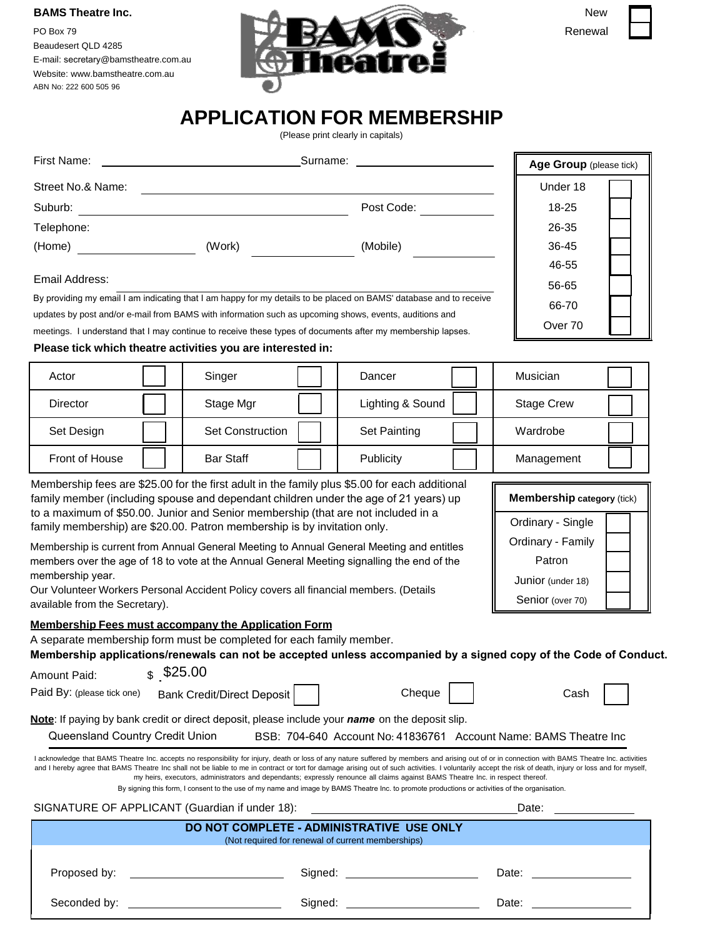#### **BAMS Theatre Inc.**

Beaudesert QLD 4285 [E-mail:](mailto:info@bamstheatre.com.au) secretary@bamstheatre.com.au [Website: w](http://www.bamstheatre.com.au/)ww.bamstheatre.com.au ABN No: 222 600 505 96



|        | New |  |
|--------|-----|--|
| 2anaws |     |  |

# **APPLICATION FOR MEMBERSHIP**

(Please print clearly in capitals)

| First Name:           |                                                                                                                    | Surname: <u>______</u> ________________ | Age Group (please tick) |
|-----------------------|--------------------------------------------------------------------------------------------------------------------|-----------------------------------------|-------------------------|
| Street No.& Name:     |                                                                                                                    |                                         | Under 18                |
| Suburb:               |                                                                                                                    | Post Code:                              | $18 - 25$               |
| Telephone:            |                                                                                                                    |                                         | 26-35                   |
| (Home)                | (Work)                                                                                                             | (Mobile)                                | 36-45                   |
|                       |                                                                                                                    |                                         | 46-55                   |
| Email Address:        |                                                                                                                    |                                         | 56-65                   |
|                       | By providing my email I am indicating that I am happy for my details to be placed on BAMS' database and to receive |                                         | 66-70                   |
|                       | updates by post and/or e-mail from BAMS with information such as upcoming shows, events, auditions and             |                                         | Over 70                 |
|                       | meetings. I understand that I may continue to receive these types of documents after my membership lapses.         |                                         |                         |
|                       | Please tick which theatre activities you are interested in:                                                        |                                         |                         |
| Actor                 | Singer                                                                                                             | Dancer                                  | Musician                |
| <b>Director</b>       | Stage Mgr                                                                                                          | Lighting & Sound                        | <b>Stage Crew</b>       |
| Set Design            | <b>Set Construction</b>                                                                                            | <b>Set Painting</b>                     | Wardrobe                |
| <b>Front of House</b> | <b>Bar Staff</b>                                                                                                   | Publicity                               | Management              |

Membership fees are \$25.00 for the first adult in the family plus \$5.00 for each additional family member (including spouse and dependant children under the age of 21 years) up to a maximum of \$50.00. Junior and Senior membership (that are not included in a family membership) are \$20.00. Patron membership is by invitation only.

Membership is current from Annual General Meeting to Annual General Meeting and entitles members over the age of 18 to vote at the Annual General Meeting signalling the end of the membership year.

Our Volunteer Workers Personal Accident Policy covers all financial members. (Details available from the Secretary).

#### **Membership Fees must accompany the Application Form**

A separate membership form must be completed for each family member.

**Membership applications/renewals can not be accepted unless accompanied by a signed copy of the Code of Conduct.** 

 $$25.00$ 

| Paid By: (please tick one) | <b>Bank Credit/Direct Deposit  </b> | Cheaue | Cash |
|----------------------------|-------------------------------------|--------|------|
|----------------------------|-------------------------------------|--------|------|

**Membership category** (tick)

Ordinary - Single Ordinary - Family Patron Junior (under 18) Senior (over 70)

**Note**: If paying by bank credit or direct deposit, please include your *name* on the deposit slip.

Queensland Country Credit Union BSB: 704-640 Account No: 41836761 Account Name: BAMS Theatre Inc

I acknowledge that BAMS Theatre Inc. accepts no responsibility for injury, death or loss of any nature suffered by members and arising out of or in connection with BAMS Theatre Inc. activities and I hereby agree that BAMS Theatre Inc shall not be liable to me in contract or tort for damage arising out of such activities. I voluntarily accept the risk of death, injury or loss and for myself, my heirs, executors, administrators and dependants; expressly renounce all claims against BAMS Theatre Inc. in respect thereof.

By signing this form, I consent to the use of my name and image by BAMS Theatre Inc. to promote productions or activities of the organisation.

|                                                                                                                                                                                                                                |         | Date:                                                                                                                                                                                                                          |  |
|--------------------------------------------------------------------------------------------------------------------------------------------------------------------------------------------------------------------------------|---------|--------------------------------------------------------------------------------------------------------------------------------------------------------------------------------------------------------------------------------|--|
| DO NOT COMPLETE - ADMINISTRATIVE USE ONLY<br>(Not required for renewal of current memberships)                                                                                                                                 |         |                                                                                                                                                                                                                                |  |
| Proposed by: the contract of the contract of the contract of the contract of the contract of the contract of the contract of the contract of the contract of the contract of the contract of the contract of the contract of t |         | Date: the contract of the contract of the contract of the contract of the contract of the contract of the contract of the contract of the contract of the contract of the contract of the contract of the contract of the cont |  |
| Seconded by:                                                                                                                                                                                                                   | Signed: | Date:                                                                                                                                                                                                                          |  |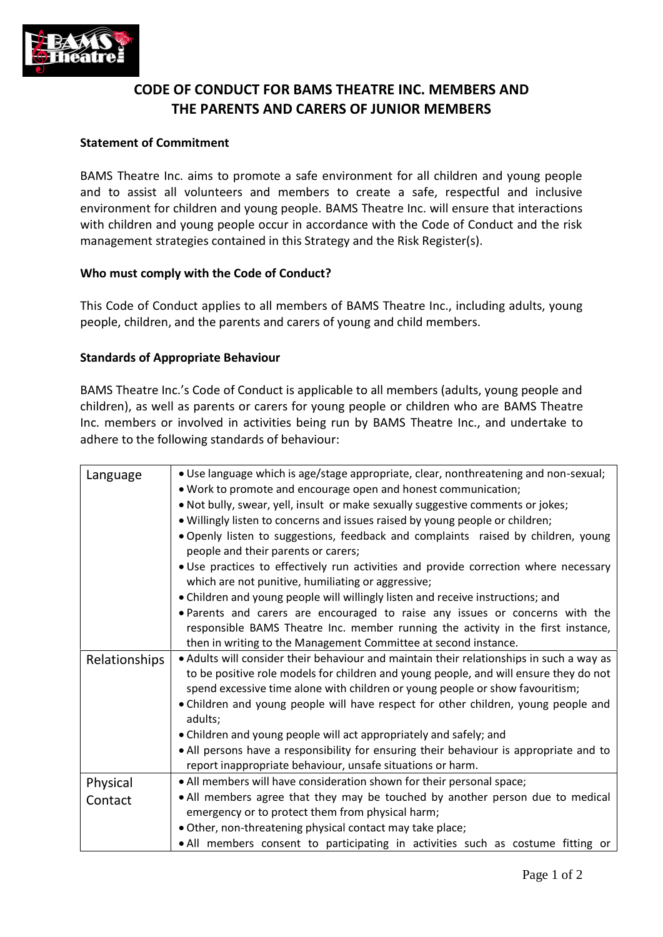

# **CODE OF CONDUCT FOR BAMS THEATRE INC. MEMBERS AND THE PARENTS AND CARERS OF JUNIOR MEMBERS**

## **Statement of Commitment**

BAMS Theatre Inc. aims to promote a safe environment for all children and young people and to assist all volunteers and members to create a safe, respectful and inclusive environment for children and young people. BAMS Theatre Inc. will ensure that interactions with children and young people occur in accordance with the Code of Conduct and the risk management strategies contained in this Strategy and the Risk Register(s).

### **Who must comply with the Code of Conduct?**

This Code of Conduct applies to all members of BAMS Theatre Inc., including adults, young people, children, and the parents and carers of young and child members.

### **Standards of Appropriate Behaviour**

BAMS Theatre Inc.'s Code of Conduct is applicable to all members (adults, young people and children), as well as parents or carers for young people or children who are BAMS Theatre Inc. members or involved in activities being run by BAMS Theatre Inc., and undertake to adhere to the following standards of behaviour:

| Language            | . Use language which is age/stage appropriate, clear, nonthreatening and non-sexual;<br>. Work to promote and encourage open and honest communication;<br>. Not bully, swear, yell, insult or make sexually suggestive comments or jokes;<br>. Willingly listen to concerns and issues raised by young people or children;<br>. Openly listen to suggestions, feedback and complaints raised by children, young<br>people and their parents or carers;<br>. Use practices to effectively run activities and provide correction where necessary<br>which are not punitive, humiliating or aggressive; |
|---------------------|------------------------------------------------------------------------------------------------------------------------------------------------------------------------------------------------------------------------------------------------------------------------------------------------------------------------------------------------------------------------------------------------------------------------------------------------------------------------------------------------------------------------------------------------------------------------------------------------------|
|                     | • Children and young people will willingly listen and receive instructions; and<br>. Parents and carers are encouraged to raise any issues or concerns with the<br>responsible BAMS Theatre Inc. member running the activity in the first instance,<br>then in writing to the Management Committee at second instance.                                                                                                                                                                                                                                                                               |
| Relationships       | . Adults will consider their behaviour and maintain their relationships in such a way as<br>to be positive role models for children and young people, and will ensure they do not<br>spend excessive time alone with children or young people or show favouritism;<br>. Children and young people will have respect for other children, young people and<br>adults;<br>• Children and young people will act appropriately and safely; and<br>. All persons have a responsibility for ensuring their behaviour is appropriate and to<br>report inappropriate behaviour, unsafe situations or harm.    |
| Physical<br>Contact | . All members will have consideration shown for their personal space;<br>. All members agree that they may be touched by another person due to medical<br>emergency or to protect them from physical harm;<br>. Other, non-threatening physical contact may take place;<br>. All members consent to participating in activities such as costume fitting or                                                                                                                                                                                                                                           |